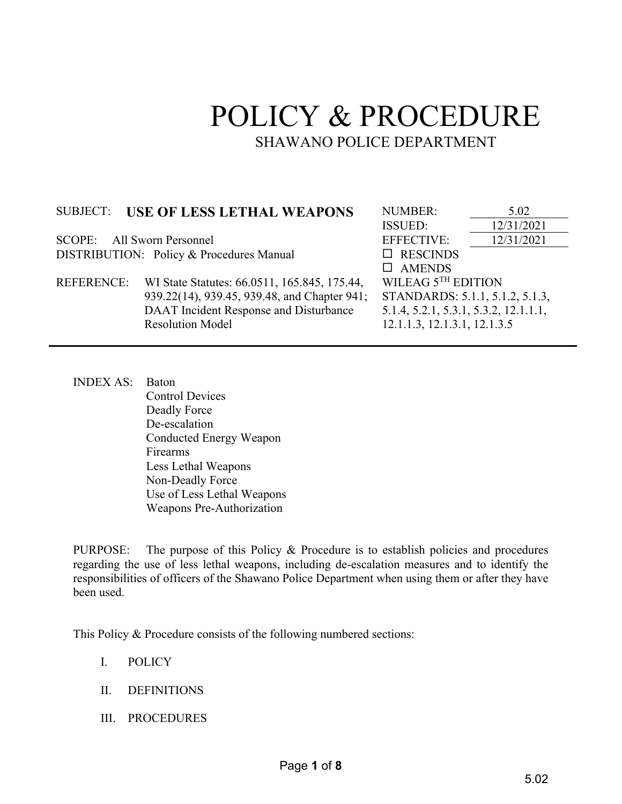# POLICY & PROCEDURE SHAWANO POLICE DEPARTMENT

## SUBJECT: **USE OF LESS LETHAL WEAPONS** NUMBER:  $\frac{5.02}{12/31/20}$

SCOPE: All Sworn Personnel EFFECTIVE: 12/31/2021 DISTRIBUTION: Policy & Procedures Manual □ RESCINDS

 REFERENCE: WI State Statutes: 66.0511, 165.845, 175.44, 939.22(14), 939.45, 939.48, and Chapter 941; DAAT Incident Response and Disturbance Resolution Model

ISSUED: 12/31/2021 AMENDS WILEAG 5<sup>TH</sup> EDITION STANDARDS: 5.1.1, 5.1.2, 5.1.3, 5.1.4, 5.2.1, 5.3.1, 5.3.2, 12.1.1.1, 12.1.1.3, 12.1.3.1, 12.1.3.5

INDEX AS: Baton Control Devices Deadly Force De-escalation Conducted Energy Weapon Firearms Less Lethal Weapons Non-Deadly Force Use of Less Lethal Weapons Weapons Pre-Authorization

PURPOSE: The purpose of this Policy & Procedure is to establish policies and procedures regarding the use of less lethal weapons, including de-escalation measures and to identify the responsibilities of officers of the Shawano Police Department when using them or after they have been used.

This Policy & Procedure consists of the following numbered sections:

- I. POLICY
- II. DEFINITIONS
- III. PROCEDURES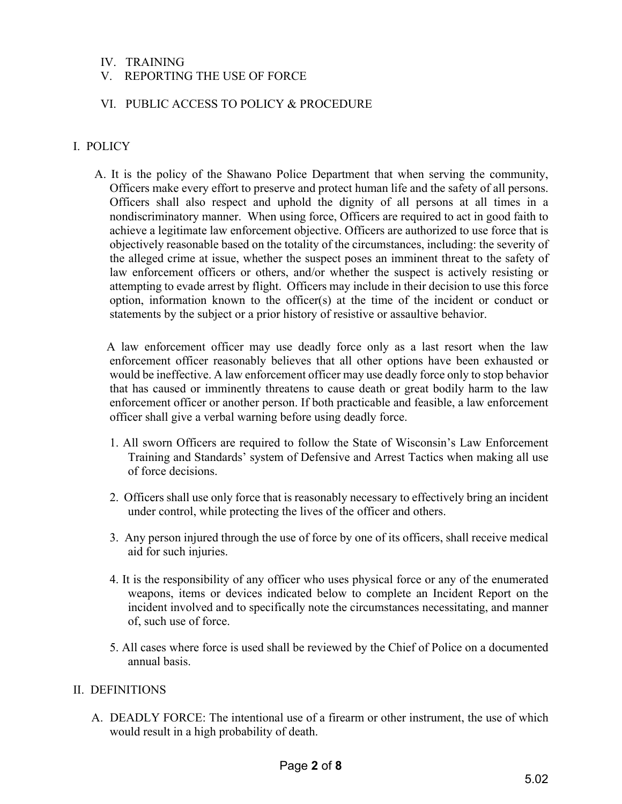## IV. TRAINING

## V. REPORTING THE USE OF FORCE

### VI. PUBLIC ACCESS TO POLICY & PROCEDURE

## I. POLICY

 A. It is the policy of the Shawano Police Department that when serving the community, Officers make every effort to preserve and protect human life and the safety of all persons. Officers shall also respect and uphold the dignity of all persons at all times in a nondiscriminatory manner. When using force, Officers are required to act in good faith to achieve a legitimate law enforcement objective. Officers are authorized to use force that is objectively reasonable based on the totality of the circumstances, including: the severity of the alleged crime at issue, whether the suspect poses an imminent threat to the safety of law enforcement officers or others, and/or whether the suspect is actively resisting or attempting to evade arrest by flight. Officers may include in their decision to use this force option, information known to the officer(s) at the time of the incident or conduct or statements by the subject or a prior history of resistive or assaultive behavior.

 A law enforcement officer may use deadly force only as a last resort when the law enforcement officer reasonably believes that all other options have been exhausted or would be ineffective. A law enforcement officer may use deadly force only to stop behavior that has caused or imminently threatens to cause death or great bodily harm to the law enforcement officer or another person. If both practicable and feasible, a law enforcement officer shall give a verbal warning before using deadly force.

- 1. All sworn Officers are required to follow the State of Wisconsin's Law Enforcement Training and Standards' system of Defensive and Arrest Tactics when making all use of force decisions.
- 2. Officers shall use only force that is reasonably necessary to effectively bring an incident under control, while protecting the lives of the officer and others.
- 3. Any person injured through the use of force by one of its officers, shall receive medical aid for such injuries.
- 4. It is the responsibility of any officer who uses physical force or any of the enumerated weapons, items or devices indicated below to complete an Incident Report on the incident involved and to specifically note the circumstances necessitating, and manner of, such use of force.
- 5. All cases where force is used shall be reviewed by the Chief of Police on a documented annual basis.

#### II. DEFINITIONS

A. DEADLY FORCE: The intentional use of a firearm or other instrument, the use of which would result in a high probability of death.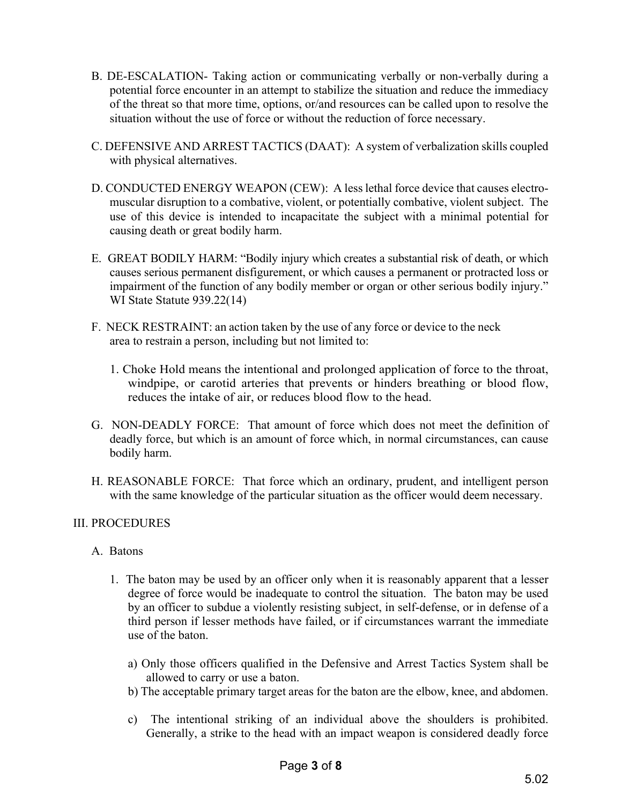- B. DE-ESCALATION- Taking action or communicating verbally or non-verbally during a potential force encounter in an attempt to stabilize the situation and reduce the immediacy of the threat so that more time, options, or/and resources can be called upon to resolve the situation without the use of force or without the reduction of force necessary.
- C. DEFENSIVE AND ARREST TACTICS (DAAT): A system of verbalization skills coupled with physical alternatives.
- D. CONDUCTED ENERGY WEAPON (CEW): A less lethal force device that causes electromuscular disruption to a combative, violent, or potentially combative, violent subject. The use of this device is intended to incapacitate the subject with a minimal potential for causing death or great bodily harm.
- E. GREAT BODILY HARM: "Bodily injury which creates a substantial risk of death, or which causes serious permanent disfigurement, or which causes a permanent or protracted loss or impairment of the function of any bodily member or organ or other serious bodily injury." WI State Statute 939.22(14)
- F. NECK RESTRAINT: an action taken by the use of any force or device to the neck area to restrain a person, including but not limited to:
	- 1. Choke Hold means the intentional and prolonged application of force to the throat, windpipe, or carotid arteries that prevents or hinders breathing or blood flow, reduces the intake of air, or reduces blood flow to the head.
- G. NON-DEADLY FORCE: That amount of force which does not meet the definition of deadly force, but which is an amount of force which, in normal circumstances, can cause bodily harm.
- H. REASONABLE FORCE: That force which an ordinary, prudent, and intelligent person with the same knowledge of the particular situation as the officer would deem necessary.

## III. PROCEDURES

## A. Batons

- 1. The baton may be used by an officer only when it is reasonably apparent that a lesser degree of force would be inadequate to control the situation. The baton may be used by an officer to subdue a violently resisting subject, in self-defense, or in defense of a third person if lesser methods have failed, or if circumstances warrant the immediate use of the baton.
	- a) Only those officers qualified in the Defensive and Arrest Tactics System shall be allowed to carry or use a baton.
	- b) The acceptable primary target areas for the baton are the elbow, knee, and abdomen.
	- c) The intentional striking of an individual above the shoulders is prohibited. Generally, a strike to the head with an impact weapon is considered deadly force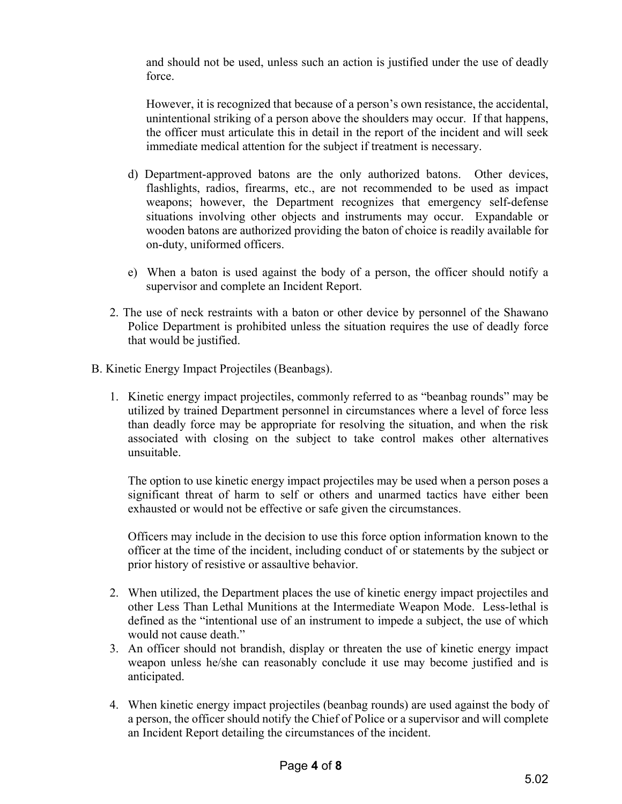and should not be used, unless such an action is justified under the use of deadly force.

However, it is recognized that because of a person's own resistance, the accidental, unintentional striking of a person above the shoulders may occur. If that happens, the officer must articulate this in detail in the report of the incident and will seek immediate medical attention for the subject if treatment is necessary.

- d) Department-approved batons are the only authorized batons. Other devices, flashlights, radios, firearms, etc., are not recommended to be used as impact weapons; however, the Department recognizes that emergency self-defense situations involving other objects and instruments may occur. Expandable or wooden batons are authorized providing the baton of choice is readily available for on-duty, uniformed officers.
- e) When a baton is used against the body of a person, the officer should notify a supervisor and complete an Incident Report.
- 2. The use of neck restraints with a baton or other device by personnel of the Shawano Police Department is prohibited unless the situation requires the use of deadly force that would be justified.
- B. Kinetic Energy Impact Projectiles (Beanbags).
	- 1. Kinetic energy impact projectiles, commonly referred to as "beanbag rounds" may be utilized by trained Department personnel in circumstances where a level of force less than deadly force may be appropriate for resolving the situation, and when the risk associated with closing on the subject to take control makes other alternatives unsuitable.

The option to use kinetic energy impact projectiles may be used when a person poses a significant threat of harm to self or others and unarmed tactics have either been exhausted or would not be effective or safe given the circumstances.

Officers may include in the decision to use this force option information known to the officer at the time of the incident, including conduct of or statements by the subject or prior history of resistive or assaultive behavior.

- 2. When utilized, the Department places the use of kinetic energy impact projectiles and other Less Than Lethal Munitions at the Intermediate Weapon Mode. Less-lethal is defined as the "intentional use of an instrument to impede a subject, the use of which would not cause death."
- 3. An officer should not brandish, display or threaten the use of kinetic energy impact weapon unless he/she can reasonably conclude it use may become justified and is anticipated.
- 4. When kinetic energy impact projectiles (beanbag rounds) are used against the body of a person, the officer should notify the Chief of Police or a supervisor and will complete an Incident Report detailing the circumstances of the incident.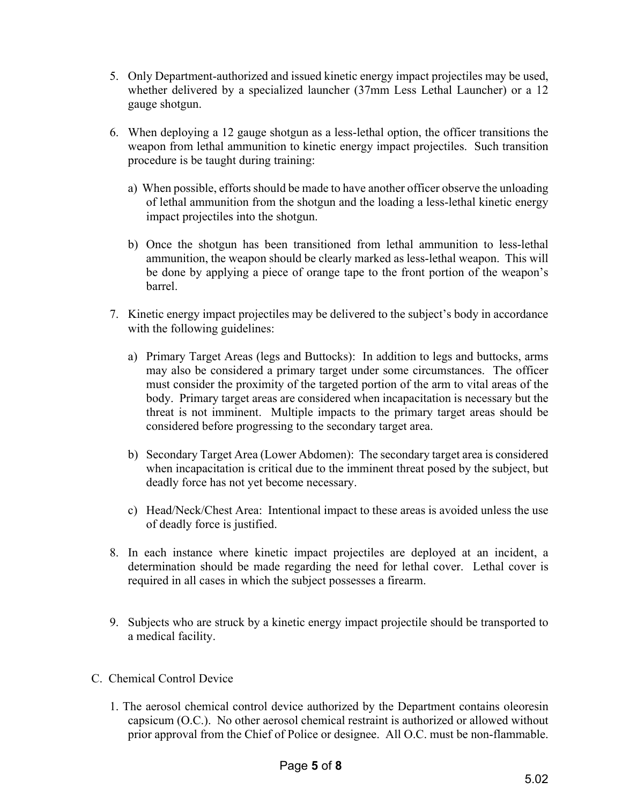- 5. Only Department-authorized and issued kinetic energy impact projectiles may be used, whether delivered by a specialized launcher (37mm Less Lethal Launcher) or a 12 gauge shotgun.
- 6. When deploying a 12 gauge shotgun as a less-lethal option, the officer transitions the weapon from lethal ammunition to kinetic energy impact projectiles. Such transition procedure is be taught during training:
	- a) When possible, efforts should be made to have another officer observe the unloading of lethal ammunition from the shotgun and the loading a less-lethal kinetic energy impact projectiles into the shotgun.
	- b) Once the shotgun has been transitioned from lethal ammunition to less-lethal ammunition, the weapon should be clearly marked as less-lethal weapon. This will be done by applying a piece of orange tape to the front portion of the weapon's barrel.
- 7. Kinetic energy impact projectiles may be delivered to the subject's body in accordance with the following guidelines:
	- a) Primary Target Areas (legs and Buttocks): In addition to legs and buttocks, arms may also be considered a primary target under some circumstances. The officer must consider the proximity of the targeted portion of the arm to vital areas of the body. Primary target areas are considered when incapacitation is necessary but the threat is not imminent. Multiple impacts to the primary target areas should be considered before progressing to the secondary target area.
	- b) Secondary Target Area (Lower Abdomen): The secondary target area is considered when incapacitation is critical due to the imminent threat posed by the subject, but deadly force has not yet become necessary.
	- c) Head/Neck/Chest Area: Intentional impact to these areas is avoided unless the use of deadly force is justified.
- 8. In each instance where kinetic impact projectiles are deployed at an incident, a determination should be made regarding the need for lethal cover. Lethal cover is required in all cases in which the subject possesses a firearm.
- 9. Subjects who are struck by a kinetic energy impact projectile should be transported to a medical facility.
- C. Chemical Control Device
	- 1. The aerosol chemical control device authorized by the Department contains oleoresin capsicum (O.C.). No other aerosol chemical restraint is authorized or allowed without prior approval from the Chief of Police or designee. All O.C. must be non-flammable.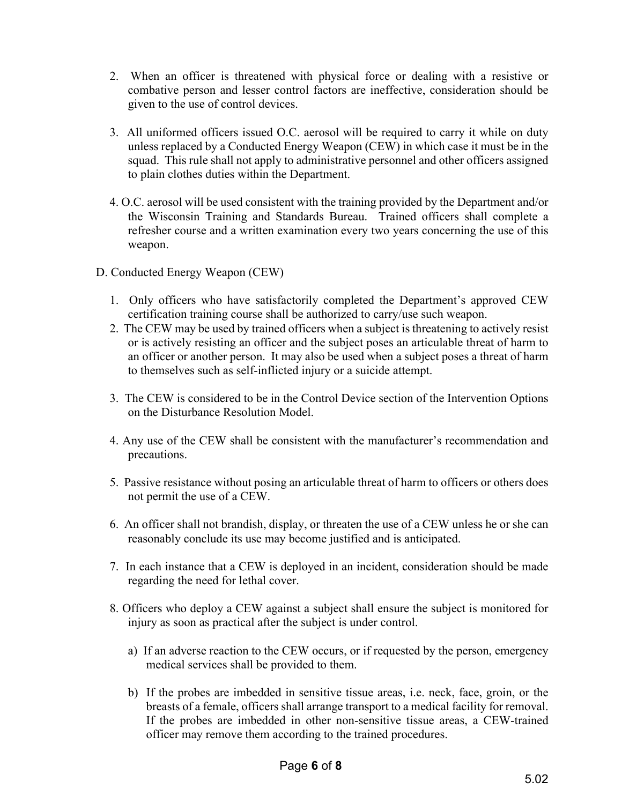- 2. When an officer is threatened with physical force or dealing with a resistive or combative person and lesser control factors are ineffective, consideration should be given to the use of control devices.
- 3. All uniformed officers issued O.C. aerosol will be required to carry it while on duty unless replaced by a Conducted Energy Weapon (CEW) in which case it must be in the squad. This rule shall not apply to administrative personnel and other officers assigned to plain clothes duties within the Department.
- 4. O.C. aerosol will be used consistent with the training provided by the Department and/or the Wisconsin Training and Standards Bureau. Trained officers shall complete a refresher course and a written examination every two years concerning the use of this weapon.
- D. Conducted Energy Weapon (CEW)
	- 1. Only officers who have satisfactorily completed the Department's approved CEW certification training course shall be authorized to carry/use such weapon.
	- 2. The CEW may be used by trained officers when a subject is threatening to actively resist or is actively resisting an officer and the subject poses an articulable threat of harm to an officer or another person. It may also be used when a subject poses a threat of harm to themselves such as self-inflicted injury or a suicide attempt.
	- 3. The CEW is considered to be in the Control Device section of the Intervention Options on the Disturbance Resolution Model.
	- 4. Any use of the CEW shall be consistent with the manufacturer's recommendation and precautions.
	- 5. Passive resistance without posing an articulable threat of harm to officers or others does not permit the use of a CEW.
	- 6. An officer shall not brandish, display, or threaten the use of a CEW unless he or she can reasonably conclude its use may become justified and is anticipated.
	- 7. In each instance that a CEW is deployed in an incident, consideration should be made regarding the need for lethal cover.
	- 8. Officers who deploy a CEW against a subject shall ensure the subject is monitored for injury as soon as practical after the subject is under control.
		- a) If an adverse reaction to the CEW occurs, or if requested by the person, emergency medical services shall be provided to them.
		- b) If the probes are imbedded in sensitive tissue areas, i.e. neck, face, groin, or the breasts of a female, officers shall arrange transport to a medical facility for removal. If the probes are imbedded in other non-sensitive tissue areas, a CEW-trained officer may remove them according to the trained procedures.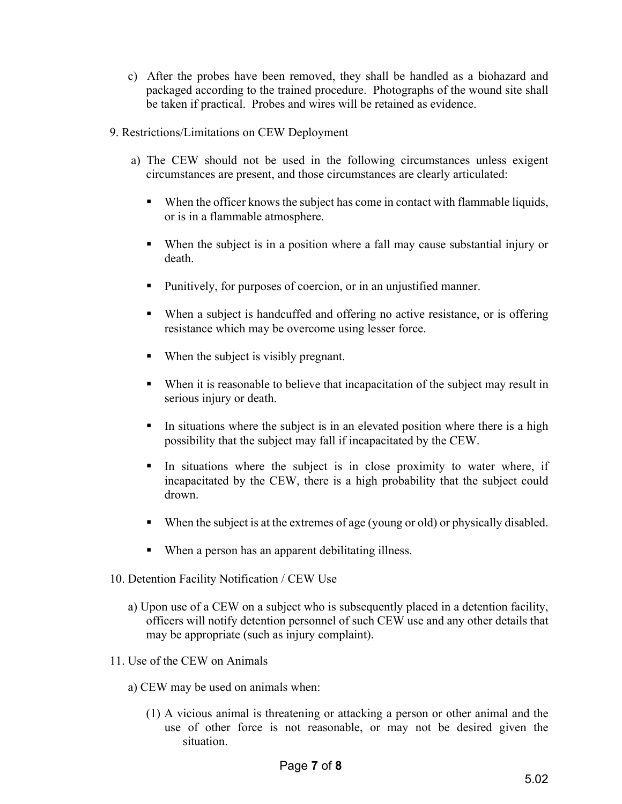- c) After the probes have been removed, they shall be handled as a biohazard and packaged according to the trained procedure. Photographs of the wound site shall be taken if practical. Probes and wires will be retained as evidence.
- 9. Restrictions/Limitations on CEW Deployment
	- a) The CEW should not be used in the following circumstances unless exigent circumstances are present, and those circumstances are clearly articulated:
		- When the officer knows the subject has come in contact with flammable liquids, or is in a flammable atmosphere.
		- When the subject is in a position where a fall may cause substantial injury or death.
		- Punitively, for purposes of coercion, or in an unjustified manner.
		- When a subject is handcuffed and offering no active resistance, or is offering resistance which may be overcome using lesser force.
		- When the subject is visibly pregnant.
		- When it is reasonable to believe that incapacitation of the subject may result in serious injury or death.
		- In situations where the subject is in an elevated position where there is a high possibility that the subject may fall if incapacitated by the CEW.
		- In situations where the subject is in close proximity to water where, if incapacitated by the CEW, there is a high probability that the subject could drown.
		- When the subject is at the extremes of age (young or old) or physically disabled.
		- When a person has an apparent debilitating illness.
- 10. Detention Facility Notification / CEW Use
	- a) Upon use of a CEW on a subject who is subsequently placed in a detention facility, officers will notify detention personnel of such CEW use and any other details that may be appropriate (such as injury complaint).
- 11. Use of the CEW on Animals
	- a) CEW may be used on animals when:
		- (1) A vicious animal is threatening or attacking a person or other animal and the use of other force is not reasonable, or may not be desired given the situation.